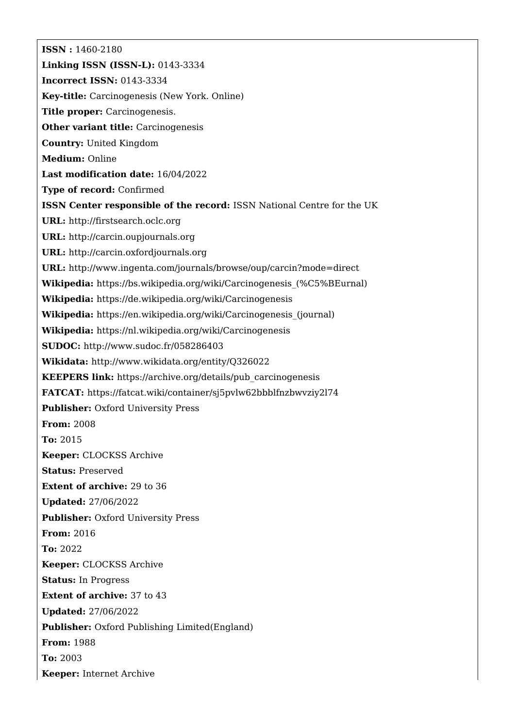**ISSN :** 1460-2180 **Linking ISSN (ISSN-L):** 0143-3334 **Incorrect ISSN:** 0143-3334 **Key-title:** Carcinogenesis (New York. Online) **Title proper:** Carcinogenesis. **Other variant title: Carcinogenesis Country:** United Kingdom **Medium:** Online **Last modification date:** 16/04/2022 **Type of record:** Confirmed **ISSN Center responsible of the record:** ISSN National Centre for the UK **URL:** <http://firstsearch.oclc.org> **URL:** <http://carcin.oupjournals.org> **URL:** <http://carcin.oxfordjournals.org> **URL:** <http://www.ingenta.com/journals/browse/oup/carcin?mode=direct> **Wikipedia:** [https://bs.wikipedia.org/wiki/Carcinogenesis\\_\(%C5%BEurnal\)](https://bs.wikipedia.org/wiki/Carcinogenesis_(%C5%BEurnal)) **Wikipedia:** <https://de.wikipedia.org/wiki/Carcinogenesis> **Wikipedia:** [https://en.wikipedia.org/wiki/Carcinogenesis\\_\(journal\)](https://en.wikipedia.org/wiki/Carcinogenesis_(journal)) **Wikipedia:** <https://nl.wikipedia.org/wiki/Carcinogenesis> **SUDOC:** <http://www.sudoc.fr/058286403> **Wikidata:** <http://www.wikidata.org/entity/Q326022> **KEEPERS link:** [https://archive.org/details/pub\\_carcinogenesis](https://archive.org/details/pub_carcinogenesis) **FATCAT:** <https://fatcat.wiki/container/sj5pvlw62bbblfnzbwvziy2l74> **Publisher: Oxford University Press From:** 2008 **To:** 2015 **Keeper:** CLOCKSS Archive **Status:** Preserved **Extent of archive:** 29 to 36 **Updated:** 27/06/2022 **Publisher:** Oxford University Press **From:** 2016 **To:** 2022 **Keeper:** CLOCKSS Archive **Status:** In Progress **Extent of archive:** 37 to 43 **Updated:** 27/06/2022 **Publisher:** Oxford Publishing Limited(England) **From:** 1988 **To:** 2003 **Keeper:** Internet Archive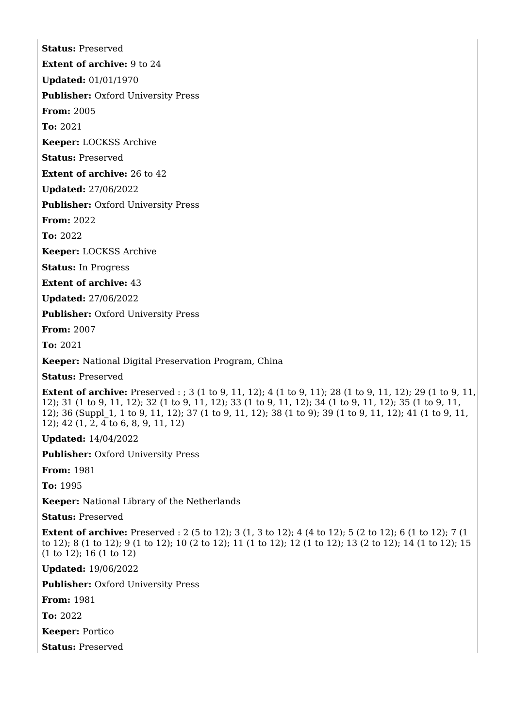**Status:** Preserved

**Extent of archive:** 9 to 24

**Updated:** 01/01/1970

**Publisher:** Oxford University Press

**From:** 2005

**To:** 2021

**Keeper:** LOCKSS Archive

**Status:** Preserved

**Extent of archive:** 26 to 42

**Updated:** 27/06/2022

**Publisher: Oxford University Press** 

**From:** 2022

**To:** 2022

**Keeper:** LOCKSS Archive

**Status:** In Progress

**Extent of archive:** 43

**Updated:** 27/06/2022

**Publisher:** Oxford University Press

**From:** 2007

**To:** 2021

**Keeper:** National Digital Preservation Program, China

**Status:** Preserved

**Extent of archive:** Preserved : ; 3 (1 to 9, 11, 12); 4 (1 to 9, 11); 28 (1 to 9, 11, 12); 29 (1 to 9, 11, 12); 31 (1 to 9, 11, 12); 32 (1 to 9, 11, 12); 33 (1 to 9, 11, 12); 34 (1 to 9, 11, 12); 35 (1 to 9, 11, 12); 36 (Suppl\_1, 1 to 9, 11, 12); 37 (1 to 9, 11, 12); 38 (1 to 9); 39 (1 to 9, 11, 12); 41 (1 to 9, 11, 12); 42 (1, 2, 4 to 6, 8, 9, 11, 12)

**Updated:** 14/04/2022

**Publisher:** Oxford University Press

**From:** 1981

**To:** 1995

**Keeper:** National Library of the Netherlands

**Status:** Preserved

**Extent of archive:** Preserved : 2 (5 to 12); 3 (1, 3 to 12); 4 (4 to 12); 5 (2 to 12); 6 (1 to 12); 7 (1) to 12); 8 (1 to 12); 9 (1 to 12); 10 (2 to 12); 11 (1 to 12); 12 (1 to 12); 13 (2 to 12); 14 (1 to 12); 15 (1 to 12); 16 (1 to 12)

**Updated:** 19/06/2022

**Publisher:** Oxford University Press

**From:** 1981

**To:** 2022

**Keeper:** Portico

**Status:** Preserved